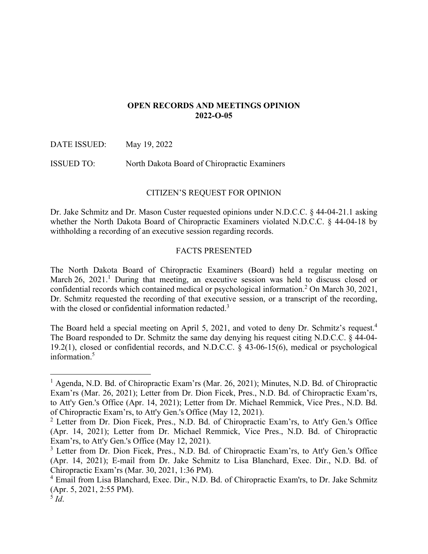## **OPEN RECORDS AND MEETINGS OPINION 2022-O-05**

DATE ISSUED: May 19, 2022

ISSUED TO: North Dakota Board of Chiropractic Examiners

# CITIZEN'S REQUEST FOR OPINION

Dr. Jake Schmitz and Dr. Mason Custer requested opinions under N.D.C.C. § 44-04-21.1 asking whether the North Dakota Board of Chiropractic Examiners violated N.D.C.C. § 44-04-18 by withholding a recording of an executive session regarding records.

## FACTS PRESENTED

The North Dakota Board of Chiropractic Examiners (Board) held a regular meeting on March 26, 2021.<sup>1</sup> During that meeting, an executive session was held to discuss closed or confidential records which contained medical or psychological information.<sup>2</sup> On March 30, 2021, Dr. Schmitz requested the recording of that executive session, or a transcript of the recording, with the closed or confidential information redacted.<sup>3</sup>

The Board held a special meeting on April 5, 2021, and voted to deny Dr. Schmitz's request.<sup>4</sup> The Board responded to Dr. Schmitz the same day denying his request citing N.D.C.C. § 44-04- 19.2(1), closed or confidential records, and N.D.C.C. § 43-06-15(6), medical or psychological information.<sup>5</sup>

<sup>&</sup>lt;sup>1</sup> Agenda, N.D. Bd. of Chiropractic Exam'rs (Mar. 26, 2021); Minutes, N.D. Bd. of Chiropractic Exam'rs (Mar. 26, 2021); Letter from Dr. Dion Ficek, Pres., N.D. Bd. of Chiropractic Exam'rs, to Att'y Gen.'s Office (Apr. 14, 2021); Letter from Dr. Michael Remmick, Vice Pres., N.D. Bd. of Chiropractic Exam'rs, to Att'y Gen.'s Office (May 12, 2021).

<sup>&</sup>lt;sup>2</sup> Letter from Dr. Dion Ficek, Pres., N.D. Bd. of Chiropractic Exam'rs, to Att'y Gen.'s Office (Apr. 14, 2021); Letter from Dr. Michael Remmick, Vice Pres., N.D. Bd. of Chiropractic Exam'rs, to Att'y Gen.'s Office (May 12, 2021).

<sup>&</sup>lt;sup>3</sup> Letter from Dr. Dion Ficek, Pres., N.D. Bd. of Chiropractic Exam'rs, to Att'y Gen.'s Office (Apr. 14, 2021); E-mail from Dr. Jake Schmitz to Lisa Blanchard, Exec. Dir., N.D. Bd. of Chiropractic Exam'rs (Mar. 30, 2021, 1:36 PM).

<sup>&</sup>lt;sup>4</sup> Email from Lisa Blanchard, Exec. Dir., N.D. Bd. of Chiropractic Exam'rs, to Dr. Jake Schmitz (Apr. 5, 2021, 2:55 PM).

<sup>5</sup> *Id*.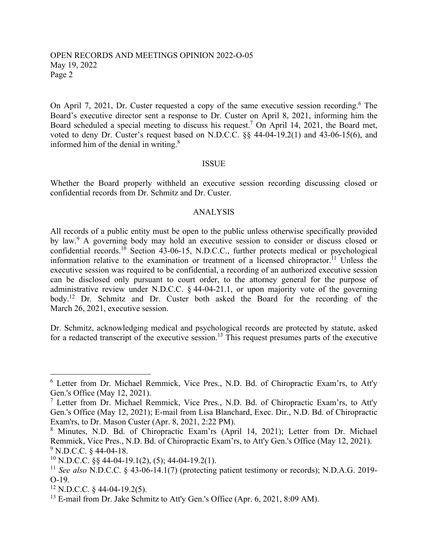## OPEN RECORDS AND MEETINGS OPINION 2022-O-05 May 19, 2022 Page 2

On April 7, 2021, Dr. Custer requested a copy of the same executive session recording.<sup>6</sup> The Board's executive director sent a response to Dr. Custer on April 8, 2021, informing him the Board scheduled a special meeting to discuss his request.<sup>7</sup> On April 14, 2021, the Board met, voted to deny Dr. Custer's request based on N.D.C.C. §§ 44-04-19.2(1) and 43-06-15(6), and informed him of the denial in writing.<sup>8</sup>

#### ISSUE

Whether the Board properly withheld an executive session recording discussing closed or confidential records from Dr. Schmitz and Dr. Custer.

### ANALYSIS

All records of a public entity must be open to the public unless otherwise specifically provided by law.<sup>9</sup> A governing body may hold an executive session to consider or discuss closed or confidential records.<sup>10</sup> Section 43-06-15, N.D.C.C., further protects medical or psychological information relative to the examination or treatment of a licensed chiropractor.<sup>11</sup> Unless the executive session was required to be confidential, a recording of an authorized executive session can be disclosed only pursuant to court order, to the attorney general for the purpose of administrative review under N.D.C.C.  $\&$  44-04-21.1, or upon majority vote of the governing body.12 Dr. Schmitz and Dr. Custer both asked the Board for the recording of the March 26, 2021, executive session.

Dr. Schmitz, acknowledging medical and psychological records are protected by statute, asked for a redacted transcript of the executive session.<sup>13</sup> This request presumes parts of the executive

<sup>&</sup>lt;sup>6</sup> Letter from Dr. Michael Remmick, Vice Pres., N.D. Bd. of Chiropractic Exam'rs, to Att'y Gen.'s Office (May 12, 2021).

<sup>&</sup>lt;sup>7</sup> Letter from Dr. Michael Remmick, Vice Pres., N.D. Bd. of Chiropractic Exam'rs, to Att'y Gen.'s Office (May 12, 2021); E-mail from Lisa Blanchard, Exec. Dir., N.D. Bd. of Chiropractic Exam'rs, to Dr. Mason Custer (Apr. 8, 2021, 2:22 PM).

<sup>&</sup>lt;sup>8</sup> Minutes, N.D. Bd. of Chiropractic Exam'rs (April 14, 2021); Letter from Dr. Michael Remmick, Vice Pres., N.D. Bd. of Chiropractic Exam'rs, to Att'y Gen.'s Office (May 12, 2021).  $9^9$  N.D.C.C. § 44-04-18.

 $10$  N.D.C.C. §§ 44-04-19.1(2), (5); 44-04-19.2(1).

<sup>11</sup> *See also* N.D.C.C. § 43-06-14.1(7) (protecting patient testimony or records); N.D.A.G. 2019- O-19.

 $12$  N.D.C.C. § 44-04-19.2(5).

<sup>&</sup>lt;sup>13</sup> E-mail from Dr. Jake Schmitz to Att'y Gen.'s Office (Apr. 6, 2021, 8:09 AM).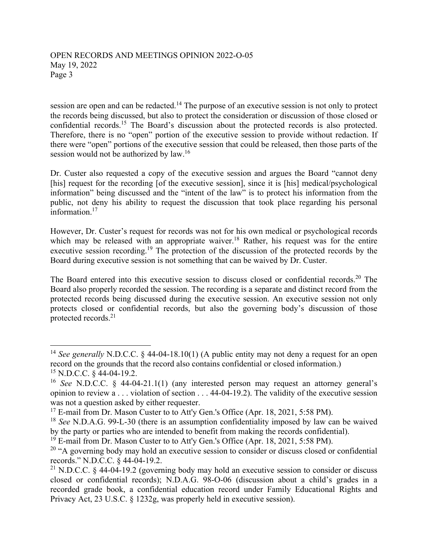## OPEN RECORDS AND MEETINGS OPINION 2022-O-05 May 19, 2022 Page 3

session are open and can be redacted.<sup>14</sup> The purpose of an executive session is not only to protect the records being discussed, but also to protect the consideration or discussion of those closed or confidential records.15 The Board's discussion about the protected records is also protected. Therefore, there is no "open" portion of the executive session to provide without redaction. If there were "open" portions of the executive session that could be released, then those parts of the session would not be authorized by law.16

Dr. Custer also requested a copy of the executive session and argues the Board "cannot deny [his] request for the recording [of the executive session], since it is [his] medical/psychological information" being discussed and the "intent of the law" is to protect his information from the public, not deny his ability to request the discussion that took place regarding his personal information.<sup>17</sup>

However, Dr. Custer's request for records was not for his own medical or psychological records which may be released with an appropriate waiver.<sup>18</sup> Rather, his request was for the entire executive session recording.<sup>19</sup> The protection of the discussion of the protected records by the Board during executive session is not something that can be waived by Dr. Custer.

The Board entered into this executive session to discuss closed or confidential records.<sup>20</sup> The Board also properly recorded the session. The recording is a separate and distinct record from the protected records being discussed during the executive session. An executive session not only protects closed or confidential records, but also the governing body's discussion of those protected records.21

<sup>&</sup>lt;sup>14</sup> *See generally* N.D.C.C. § 44-04-18.10(1) (A public entity may not deny a request for an open record on the grounds that the record also contains confidential or closed information.) 15 N.D.C.C. § 44-04-19.2.

<sup>16</sup> *See* N.D.C.C. § 44-04-21.1(1) (any interested person may request an attorney general's opinion to review a . . . violation of section . . . 44-04-19.2). The validity of the executive session was not a question asked by either requester.

<sup>&</sup>lt;sup>17</sup> E-mail from Dr. Mason Custer to to Att'y Gen.'s Office (Apr. 18, 2021, 5:58 PM).

<sup>18</sup> *See* N.D.A.G. 99-L-30 (there is an assumption confidentiality imposed by law can be waived by the party or parties who are intended to benefit from making the records confidential).

 $19^{19}$  E-mail from Dr. Mason Custer to to Att'y Gen.'s Office (Apr. 18, 2021, 5:58 PM).

<sup>&</sup>lt;sup>20</sup> "A governing body may hold an executive session to consider or discuss closed or confidential records." N.D.C.C. § 44-04-19.2.

<sup>&</sup>lt;sup>21</sup> N.D.C.C. § 44-04-19.2 (governing body may hold an executive session to consider or discuss closed or confidential records); N.D.A.G. 98-O-06 (discussion about a child's grades in a recorded grade book, a confidential education record under Family Educational Rights and Privacy Act, 23 U.S.C. § 1232g, was properly held in executive session).